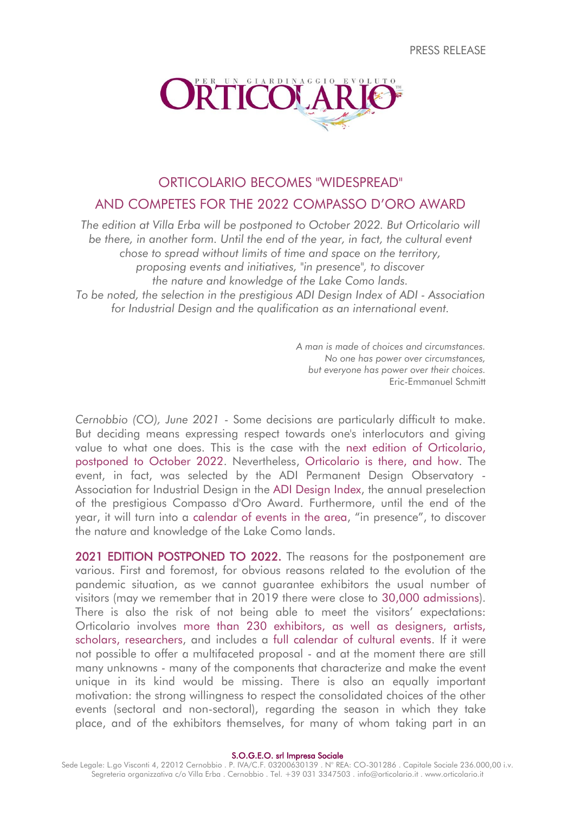PRESS RELEASE



# ORTICOLARIO BECOMES "WIDESPREAD" AND COMPETES FOR THE 2022 COMPASSO D'ORO AWARD

*The edition at Villa Erba will be postponed to October 2022. But Orticolario will be there, in another form. Until the end of the year, in fact, the cultural event chose to spread without limits of time and space on the territory, proposing events and initiatives, "in presence", to discover the nature and knowledge of the Lake Como lands. To be noted, the selection in the prestigious ADI Design Index of ADI - Association for Industrial Design and the qualification as an international event.*

> *A man is made of choices and circumstances. No one has power over circumstances, but everyone has power over their choices.* Eric-Emmanuel Schmitt

*Cernobbio (CO), June 2021* - Some decisions are particularly difficult to make. But deciding means expressing respect towards one's interlocutors and giving value to what one does. This is the case with the next edition of Orticolario, postponed to October 2022. Nevertheless, Orticolario is there, and how. The event, in fact, was selected by the ADI Permanent Design Observatory - Association for Industrial Design in the ADI Design Index, the annual preselection of the prestigious Compasso d'Oro Award. Furthermore, until the end of the year, it will turn into a calendar of events in the area, "in presence", to discover the nature and knowledge of the Lake Como lands.

2021 EDITION POSTPONED TO 2022. The reasons for the postponement are various. First and foremost, for obvious reasons related to the evolution of the pandemic situation, as we cannot guarantee exhibitors the usual number of visitors (may we remember that in 2019 there were close to 30,000 admissions). There is also the risk of not being able to meet the visitors' expectations: Orticolario involves more than 230 exhibitors, as well as designers, artists, scholars, researchers, and includes a full calendar of cultural events. If it were not possible to offer a multifaceted proposal - and at the moment there are still many unknowns - many of the components that characterize and make the event unique in its kind would be missing. There is also an equally important motivation: the strong willingness to respect the consolidated choices of the other events (sectoral and non-sectoral), regarding the season in which they take place, and of the exhibitors themselves, for many of whom taking part in an

S.O.G.E.O. srl Impresa Sociale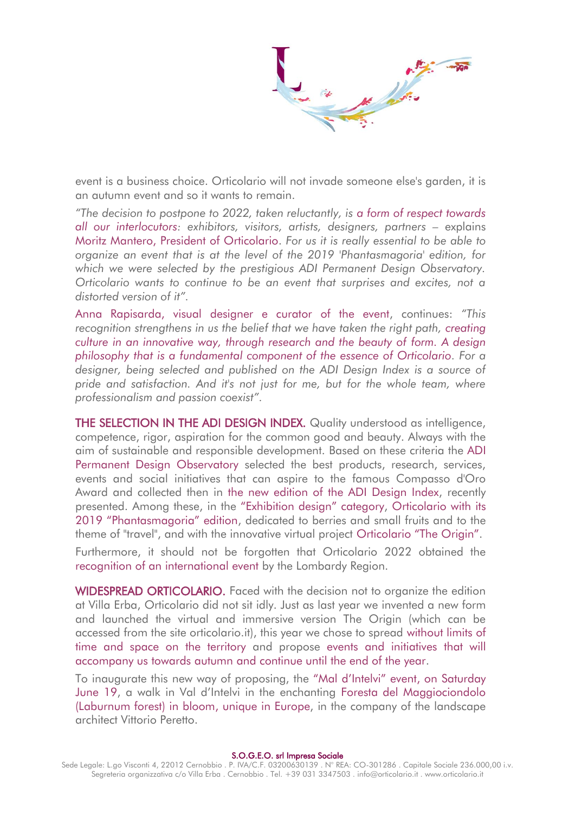event is a business choice. Orticolario will not invade someone else's garden, it is an autumn event and so it wants to remain.

*"The decision to postpone to 2022, taken reluctantly, is a form of respect towards all our interlocutors: exhibitors, visitors, artists, designers, partners – explains* Moritz Mantero, President of Orticolario. *For us it is really essential to be able to organize an event that is at the level of the 2019 'Phantasmagoria' edition, for which we were selected by the prestigious ADI Permanent Design Observatory. Orticolario wants to continue to be an event that surprises and excites, not a distorted version of it".*

Anna Rapisarda, visual designer e curator of the event, continues: *"This recognition strengthens in us the belief that we have taken the right path, creating culture in an innovative way, through research and the beauty of form. A design philosophy that is a fundamental component of the essence of Orticolario. For a designer, being selected and published on the ADI Design Index is a source of pride and satisfaction. And it's not just for me, but for the whole team, where professionalism and passion coexist".*

THE SELECTION IN THE ADI DESIGN INDEX. Quality understood as intelligence, competence, rigor, aspiration for the common good and beauty. Always with the aim of sustainable and responsible development. Based on these criteria the ADI Permanent Design Observatory selected the best products, research, services, events and social initiatives that can aspire to the famous Compasso d'Oro Award and collected then in the new edition of the ADI Desian Index, recently presented. Among these, in the "Exhibition design" category, Orticolario with its 2019 "Phantasmagoria" edition, dedicated to berries and small fruits and to the theme of "travel", and with the innovative virtual project Orticolario "The Origin".

Furthermore, it should not be forgotten that Orticolario 2022 obtained the recognition of an international event by the Lombardy Region.

WIDESPREAD ORTICOLARIO. Faced with the decision not to organize the edition at Villa Erba, Orticolario did not sit idly. Just as last year we invented a new form and launched the virtual and immersive version The Origin (which can be accessed from the site orticolario.it), this year we chose to spread without limits of time and space on the territory and propose events and initiatives that will accompany us towards autumn and continue until the end of the year.

To inaugurate this new way of proposing, the "Mal d'Intelvi" event, on Saturday June 19, a walk in Val d'Intelvi in the enchanting Foresta del Maggiociondolo (Laburnum forest) in bloom, unique in Europe, in the company of the landscape architect Vittorio Peretto.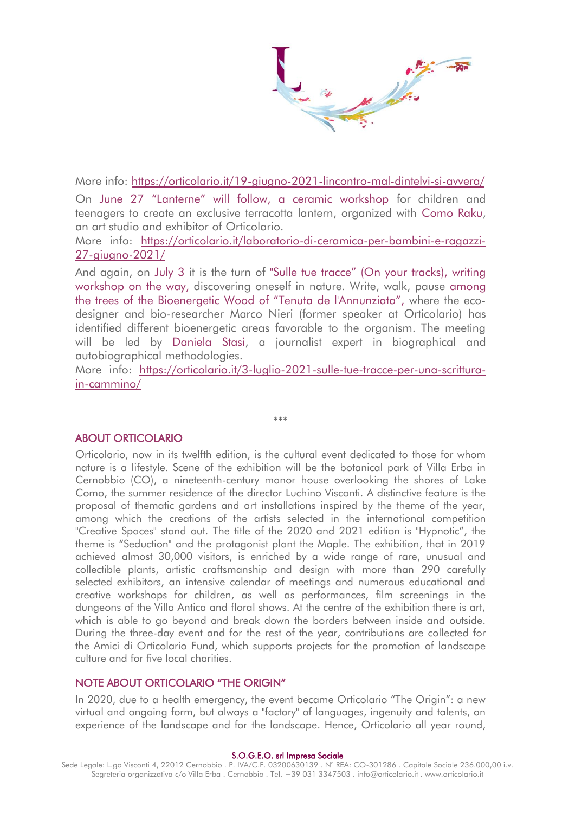More info:<https://orticolario.it/19-giugno-2021-lincontro-mal-dintelvi-si-avvera/> On June 27 "Lanterne" will follow, a ceramic workshop for children and teenagers to create an exclusive terracotta lantern, organized with Como Raku, an art studio and exhibitor of Orticolario.

More info: [https://orticolario.it/laboratorio-di-ceramica-per-bambini-e-ragazzi-](https://orticolario.it/laboratorio-di-ceramica-per-bambini-e-ragazzi-27-giugno-2021/)[27-giugno-2021/](https://orticolario.it/laboratorio-di-ceramica-per-bambini-e-ragazzi-27-giugno-2021/)

And again, on July 3 it is the turn of "Sulle tue tracce" (On your tracks), writing workshop on the way, discovering oneself in nature. Write, walk, pause among the trees of the Bioenergetic Wood of "Tenuta de l'Annunziata", where the ecodesigner and bio-researcher Marco Nieri (former speaker at Orticolario) has identified different bioenergetic areas favorable to the organism. The meeting will be led by Daniela Stasi, a journalist expert in biographical and autobiographical methodologies.

More info: [https://orticolario.it/3-luglio-2021-sulle-tue-tracce-per-una-scrittura](https://orticolario.it/3-luglio-2021-sulle-tue-tracce-per-una-scrittura-in-cammino/)[in-cammino/](https://orticolario.it/3-luglio-2021-sulle-tue-tracce-per-una-scrittura-in-cammino/)

\*\*\*

## ABOUT ORTICOLARIO

Orticolario, now in its twelfth edition, is the cultural event dedicated to those for whom nature is a lifestyle. Scene of the exhibition will be the botanical park of Villa Erba in Cernobbio (CO), a nineteenth-century manor house overlooking the shores of Lake Como, the summer residence of the director Luchino Visconti. A distinctive feature is the proposal of thematic gardens and art installations inspired by the theme of the year, among which the creations of the artists selected in the international competition "Creative Spaces" stand out. The title of the 2020 and 2021 edition is "Hypnotic", the theme is "Seduction" and the protagonist plant the Maple. The exhibition, that in 2019 achieved almost 30,000 visitors, is enriched by a wide range of rare, unusual and collectible plants, artistic craftsmanship and design with more than 290 carefully selected exhibitors, an intensive calendar of meetings and numerous educational and creative workshops for children, as well as performances, film screenings in the dungeons of the Villa Antica and floral shows. At the centre of the exhibition there is art, which is able to go beyond and break down the borders between inside and outside. During the three-day event and for the rest of the year, contributions are collected for the Amici di Orticolario Fund, which supports projects for the promotion of landscape culture and for five local charities.

### NOTE ABOUT ORTICOLARIO "THE ORIGIN"

In 2020, due to a health emergency, the event became Orticolario "The Origin": a new virtual and ongoing form, but always a "factory" of languages, ingenuity and talents, an experience of the landscape and for the landscape. Hence, Orticolario all year round,